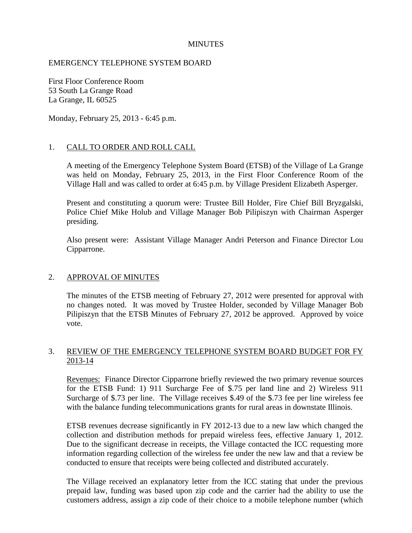## **MINUTES**

## EMERGENCY TELEPHONE SYSTEM BOARD

First Floor Conference Room 53 South La Grange Road La Grange, IL 60525

Monday, February 25, 2013 - 6:45 p.m.

### 1. CALL TO ORDER AND ROLL CALL

A meeting of the Emergency Telephone System Board (ETSB) of the Village of La Grange was held on Monday, February 25, 2013, in the First Floor Conference Room of the Village Hall and was called to order at 6:45 p.m. by Village President Elizabeth Asperger.

Present and constituting a quorum were: Trustee Bill Holder, Fire Chief Bill Bryzgalski, Police Chief Mike Holub and Village Manager Bob Pilipiszyn with Chairman Asperger presiding.

Also present were: Assistant Village Manager Andri Peterson and Finance Director Lou Cipparrone.

#### 2. APPROVAL OF MINUTES

The minutes of the ETSB meeting of February 27, 2012 were presented for approval with no changes noted. It was moved by Trustee Holder, seconded by Village Manager Bob Pilipiszyn that the ETSB Minutes of February 27, 2012 be approved. Approved by voice vote.

# 3. REVIEW OF THE EMERGENCY TELEPHONE SYSTEM BOARD BUDGET FOR FY 2013-14

Revenues: Finance Director Cipparrone briefly reviewed the two primary revenue sources for the ETSB Fund: 1) 911 Surcharge Fee of \$.75 per land line and 2) Wireless 911 Surcharge of \$.73 per line. The Village receives \$.49 of the \$.73 fee per line wireless fee with the balance funding telecommunications grants for rural areas in downstate Illinois.

ETSB revenues decrease significantly in FY 2012-13 due to a new law which changed the collection and distribution methods for prepaid wireless fees, effective January 1, 2012. Due to the significant decrease in receipts, the Village contacted the ICC requesting more information regarding collection of the wireless fee under the new law and that a review be conducted to ensure that receipts were being collected and distributed accurately.

The Village received an explanatory letter from the ICC stating that under the previous prepaid law, funding was based upon zip code and the carrier had the ability to use the customers address, assign a zip code of their choice to a mobile telephone number (which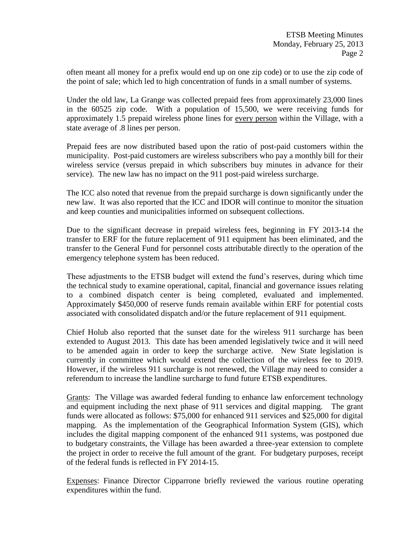often meant all money for a prefix would end up on one zip code) or to use the zip code of the point of sale; which led to high concentration of funds in a small number of systems.

Under the old law, La Grange was collected prepaid fees from approximately 23,000 lines in the 60525 zip code. With a population of 15,500, we were receiving funds for approximately 1.5 prepaid wireless phone lines for every person within the Village, with a state average of .8 lines per person.

Prepaid fees are now distributed based upon the ratio of post-paid customers within the municipality. Post-paid customers are wireless subscribers who pay a monthly bill for their wireless service (versus prepaid in which subscribers buy minutes in advance for their service). The new law has no impact on the 911 post-paid wireless surcharge.

The ICC also noted that revenue from the prepaid surcharge is down significantly under the new law. It was also reported that the ICC and IDOR will continue to monitor the situation and keep counties and municipalities informed on subsequent collections.

Due to the significant decrease in prepaid wireless fees, beginning in FY 2013-14 the transfer to ERF for the future replacement of 911 equipment has been eliminated, and the transfer to the General Fund for personnel costs attributable directly to the operation of the emergency telephone system has been reduced.

These adjustments to the ETSB budget will extend the fund's reserves, during which time the technical study to examine operational, capital, financial and governance issues relating to a combined dispatch center is being completed, evaluated and implemented. Approximately \$450,000 of reserve funds remain available within ERF for potential costs associated with consolidated dispatch and/or the future replacement of 911 equipment.

Chief Holub also reported that the sunset date for the wireless 911 surcharge has been extended to August 2013. This date has been amended legislatively twice and it will need to be amended again in order to keep the surcharge active. New State legislation is currently in committee which would extend the collection of the wireless fee to 2019. However, if the wireless 911 surcharge is not renewed, the Village may need to consider a referendum to increase the landline surcharge to fund future ETSB expenditures.

Grants: The Village was awarded federal funding to enhance law enforcement technology and equipment including the next phase of 911 services and digital mapping. The grant funds were allocated as follows: \$75,000 for enhanced 911 services and \$25,000 for digital mapping. As the implementation of the Geographical Information System (GIS), which includes the digital mapping component of the enhanced 911 systems, was postponed due to budgetary constraints, the Village has been awarded a three-year extension to complete the project in order to receive the full amount of the grant. For budgetary purposes, receipt of the federal funds is reflected in FY 2014-15.

Expenses: Finance Director Cipparrone briefly reviewed the various routine operating expenditures within the fund.